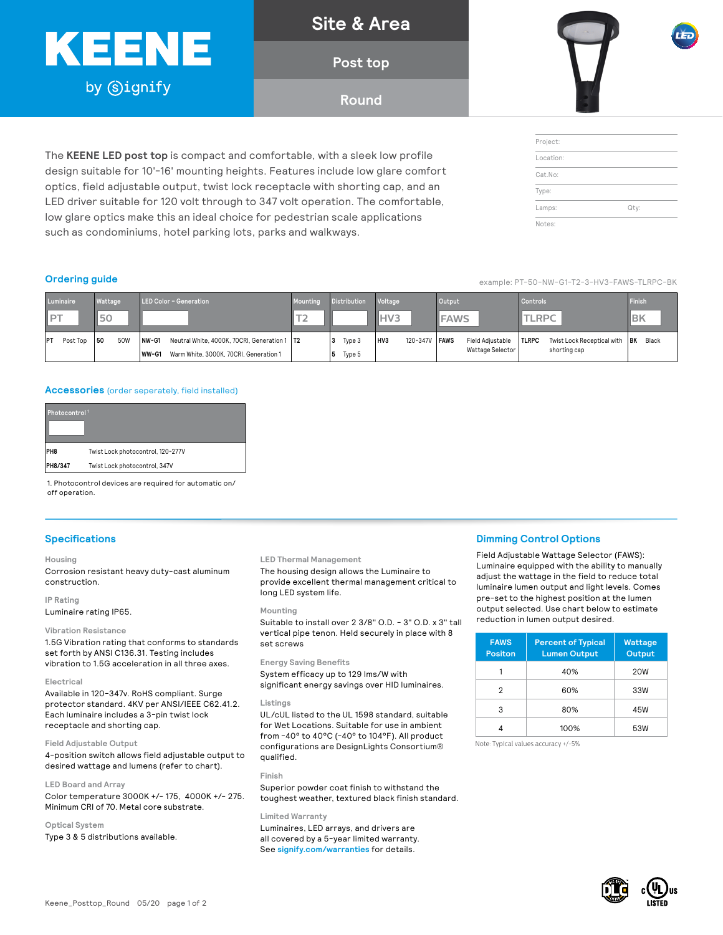### **Site & Area**

**Post top**

**Round**

The **KEENE LED post top** is compact and comfortable, with a sleek low profile design suitable for 10'-16' mounting heights. Features include low glare comfort optics, field adjustable output, twist lock receptacle with shorting cap, and an LED driver suitable for 120 volt through to 347 volt operation. The comfortable, low glare optics make this an ideal choice for pedestrian scale applications such as condominiums, hotel parking lots, parks and walkways.

| Project:  |      |
|-----------|------|
| Location: |      |
| Cat.No:   |      |
| Type:     |      |
| Lamps:    | Qty: |
| Notes:    |      |

#### **Ordering guide**

example: PT-50-NW-G1-T2-3-HV3-FAWS-TLRPC-BK

| Luminaire             | Wattage |                 |       | LED Color - Generation                         | <b>Mounting</b> |   | <b>Distribution</b> | Voltage |               | Output       |                  | Controls     |                            | Finish    |       |
|-----------------------|---------|-----------------|-------|------------------------------------------------|-----------------|---|---------------------|---------|---------------|--------------|------------------|--------------|----------------------------|-----------|-------|
| I PT                  | 50      |                 |       |                                                |                 |   |                     | IIHV3   |               | <b>IFAWS</b> |                  | <b>TLRPC</b> |                            | IBK       |       |
| Post Top<br><b>PT</b> | 150     | 50 <sub>W</sub> | NW-G1 | Neutral White, 4000K, 70CRI, Generation 1   T2 |                 | 3 | Type 3              | HV3     | 120-347V FAWS |              | Field Adjustable | <b>TLRPC</b> | Twist Lock Receptical with | <b>BK</b> | Black |
|                       |         |                 | WW-G1 | Warm White, 3000K, 70CRI, Generation 1         |                 |   | Type 5              |         |               |              | Wattage Selector |              | shorting cap               |           |       |

#### **Accessories** (order seperately, field installed)

KEENE

by Signify

| Photocontrol <sup>1</sup> |                                   |
|---------------------------|-----------------------------------|
| PH8                       | Twist Lock photocontrol, 120-277V |
| <b>PH8/347</b>            | Twist Lock photocontrol, 347V     |

1. Photocontrol devices are required for automatic on/ off operation.

#### **Specifications**

#### **Housing**

Corrosion resistant heavy duty-cast aluminum construction.

**IP Rating**

Luminaire rating IP65.

#### **Vibration Resistance**

1.5G Vibration rating that conforms to standards set forth by ANSI C136.31. Testing includes vibration to 1.5G acceleration in all three axes.

#### **Electrical**

Available in 120-347v. RoHS compliant. Surge protector standard. 4KV per ANSI/IEEE C62.41.2. Each luminaire includes a 3-pin twist lock receptacle and shorting cap.

#### **Field Adjustable Output**

4-position switch allows field adjustable output to desired wattage and lumens (refer to chart).

#### **LED Board and Array**

Color temperature 3000K +/- 175, 4000K +/- 275. Minimum CRI of 70. Metal core substrate.

**Optical System** Type 3 & 5 distributions available.

#### **LED Thermal Management**

The housing design allows the Luminaire to provide excellent thermal management critical to long LED system life.

#### **Mounting**

Suitable to install over 2 3/8" O.D. - 3" O.D. x 3" tall vertical pipe tenon. Held securely in place with 8 set screws

#### **Energy Saving Benefits**

System efficacy up to 129 lms/W with significant energy savings over HID luminaires.

#### **Listings**

UL/cUL listed to the UL 1598 standard, suitable for Wet Locations. Suitable for use in ambient from -40° to 40°C (-40° to 104°F). All product configurations are DesignLights Consortium® qualified.

#### **Finish**

Superior powder coat finish to withstand the toughest weather, textured black finish standard.

#### **Limited Warranty**

Luminaires, LED arrays, and drivers are all covered by a 5-year limited warranty. See **signify.com/warranties** for details.

#### **Dimming Control Options**

Field Adjustable Wattage Selector (FAWS): Luminaire equipped with the ability to manually adjust the wattage in the field to reduce total luminaire lumen output and light levels. Comes pre-set to the highest position at the lumen output selected. Use chart below to estimate reduction in lumen output desired.

| <b>FAWS</b><br><b>Positon</b> | <b>Percent of Typical</b><br><b>Lumen Output</b> |                 |  |  |  |
|-------------------------------|--------------------------------------------------|-----------------|--|--|--|
|                               | 40%                                              | 20 <sub>W</sub> |  |  |  |
| 2                             | 60%                                              | 33W             |  |  |  |
| 3                             | 80%                                              | 45W             |  |  |  |
|                               | 100%                                             | 53 <sub>W</sub> |  |  |  |

Note: Typical values accuracy +/-5%